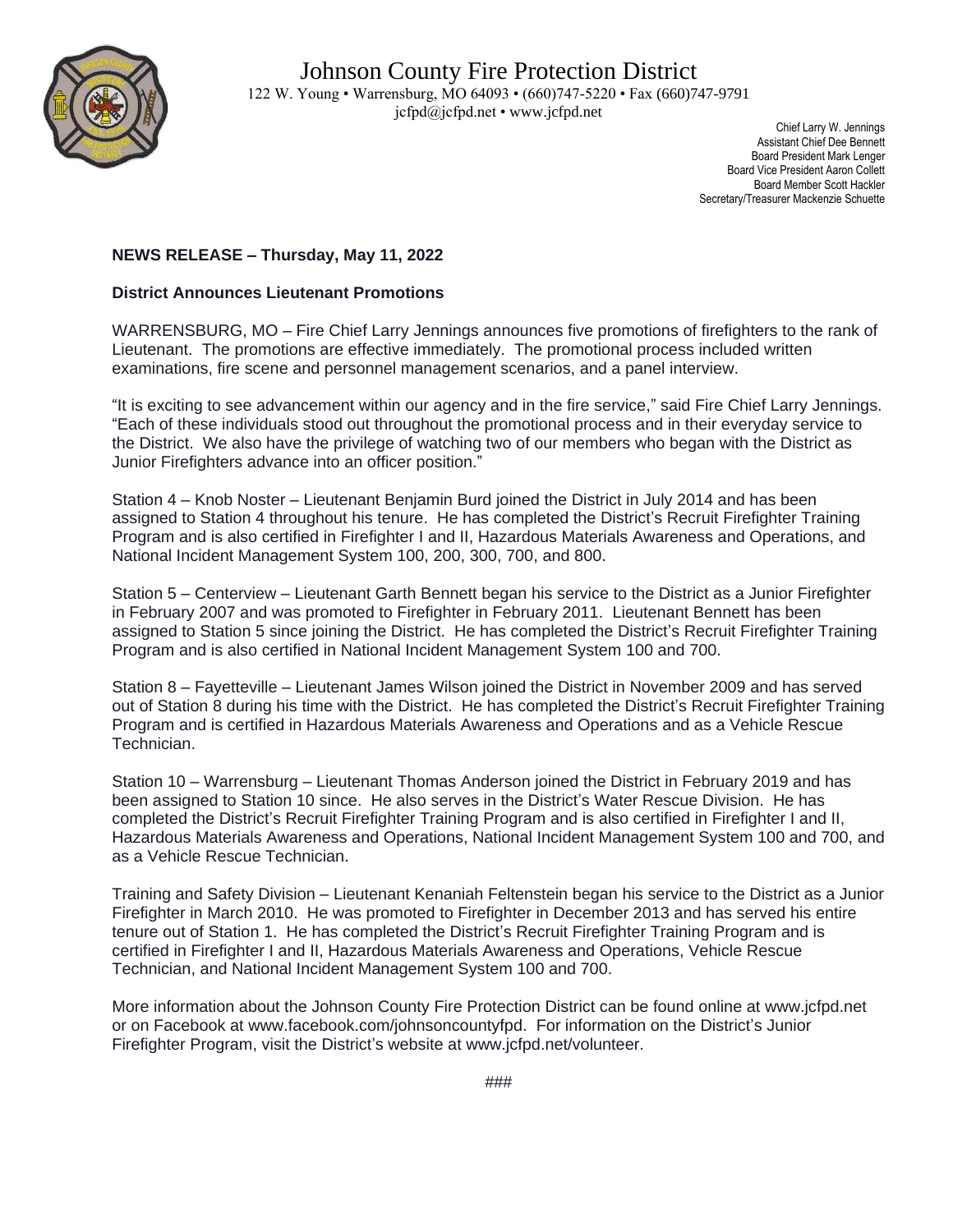

 Chief Larry W. Jennings Assistant Chief Dee Bennett Board President Mark Lenger Board Vice President Aaron Collett Board Member Scott Hackler Secretary/Treasurer Mackenzie Schuette

## **NEWS RELEASE – Thursday, May 11, 2022**

## **District Announces Lieutenant Promotions**

WARRENSBURG, MO – Fire Chief Larry Jennings announces five promotions of firefighters to the rank of Lieutenant. The promotions are effective immediately. The promotional process included written examinations, fire scene and personnel management scenarios, and a panel interview.

"It is exciting to see advancement within our agency and in the fire service," said Fire Chief Larry Jennings. "Each of these individuals stood out throughout the promotional process and in their everyday service to the District. We also have the privilege of watching two of our members who began with the District as Junior Firefighters advance into an officer position."

Station 4 – Knob Noster – Lieutenant Benjamin Burd joined the District in July 2014 and has been assigned to Station 4 throughout his tenure. He has completed the District's Recruit Firefighter Training Program and is also certified in Firefighter I and II, Hazardous Materials Awareness and Operations, and National Incident Management System 100, 200, 300, 700, and 800.

Station 5 – Centerview – Lieutenant Garth Bennett began his service to the District as a Junior Firefighter in February 2007 and was promoted to Firefighter in February 2011. Lieutenant Bennett has been assigned to Station 5 since joining the District. He has completed the District's Recruit Firefighter Training Program and is also certified in National Incident Management System 100 and 700.

Station 8 – Fayetteville – Lieutenant James Wilson joined the District in November 2009 and has served out of Station 8 during his time with the District. He has completed the District's Recruit Firefighter Training Program and is certified in Hazardous Materials Awareness and Operations and as a Vehicle Rescue Technician.

Station 10 – Warrensburg – Lieutenant Thomas Anderson joined the District in February 2019 and has been assigned to Station 10 since. He also serves in the District's Water Rescue Division. He has completed the District's Recruit Firefighter Training Program and is also certified in Firefighter I and II, Hazardous Materials Awareness and Operations, National Incident Management System 100 and 700, and as a Vehicle Rescue Technician.

Training and Safety Division – Lieutenant Kenaniah Feltenstein began his service to the District as a Junior Firefighter in March 2010. He was promoted to Firefighter in December 2013 and has served his entire tenure out of Station 1. He has completed the District's Recruit Firefighter Training Program and is certified in Firefighter I and II, Hazardous Materials Awareness and Operations, Vehicle Rescue Technician, and National Incident Management System 100 and 700.

More information about the Johnson County Fire Protection District can be found online at www.jcfpd.net or on Facebook at www.facebook.com/johnsoncountyfpd. For information on the District's Junior Firefighter Program, visit the District's website at www.jcfpd.net/volunteer.